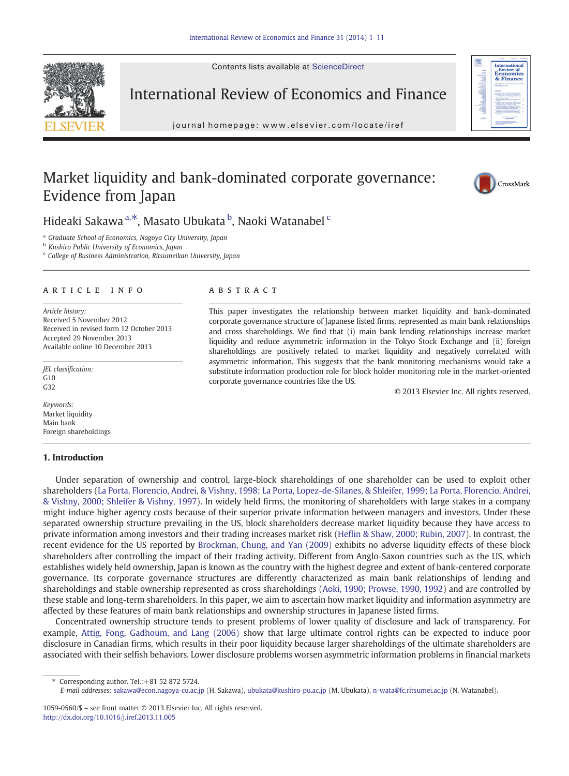Contents lists available at ScienceDirect



International Review of Economics and Finance

iournal homepage: www.elsevier.com/locate/iref journal homepage: www.elsevier.com/locate/iref

## Market liquidity and bank-dominated corporate governance: Evidence from Japan





Hideaki Sakawa <sup>a, $\ast$ </sup>, Masato Ubukata <sup>b</sup>, Naoki Watanabel <sup>c</sup>

<sup>a</sup> Graduate School of Economics, Nagoya City University, Japan

**b** Kushiro Public University of Economics, Japan

 $c$  College of Business Administration, Ritsumeikan University, Japan

### article info abstract

Article history: Received 5 November 2012 Received in revised form 12 October 2013 Accepted 29 November 2013 Available online 10 December 2013

JEL classification:  $G10$  $G32$ 

Keywords: Market liquidity Main bank Foreign shareholdings

### 1. Introduction

This paper investigates the relationship between market liquidity and bank-dominated corporate governance structure of Japanese listed firms, represented as main bank relationships and cross shareholdings. We find that (i) main bank lending relationships increase market liquidity and reduce asymmetric information in the Tokyo Stock Exchange and (ii) foreign shareholdings are positively related to market liquidity and negatively correlated with asymmetric information. This suggests that the bank monitoring mechanisms would take a substitute information production role for block holder monitoring role in the market-oriented corporate governance countries like the US.

© 2013 Elsevier Inc. All rights reserved.

Under separation of ownership and control, large-block shareholdings of one shareholder can be used to exploit other shareholders ([La Porta, Florencio, Andrei, & Vishny, 1998; La Porta, Lopez-de-Silanes, & Shleifer, 1999; La Porta, Florencio, Andrei,](#page--1-0) [& Vishny, 2000; Shleifer & Vishny, 1997](#page--1-0)). In widely held firms, the monitoring of shareholders with large stakes in a company might induce higher agency costs because of their superior private information between managers and investors. Under these separated ownership structure prevailing in the US, block shareholders decrease market liquidity because they have access to private information among investors and their trading increases market risk [\(Heflin & Shaw, 2000; Rubin, 2007](#page--1-0)). In contrast, the recent evidence for the US reported by [Brockman, Chung, and Yan \(2009\)](#page--1-0) exhibits no adverse liquidity effects of these block shareholders after controlling the impact of their trading activity. Different from Anglo-Saxon countries such as the US, which establishes widely held ownership, Japan is known as the country with the highest degree and extent of bank-centered corporate governance. Its corporate governance structures are differently characterized as main bank relationships of lending and shareholdings and stable ownership represented as cross shareholdings ([Aoki, 1990; Prowse, 1990, 1992\)](#page--1-0) and are controlled by these stable and long-term shareholders. In this paper, we aim to ascertain how market liquidity and information asymmetry are affected by these features of main bank relationships and ownership structures in Japanese listed firms.

Concentrated ownership structure tends to present problems of lower quality of disclosure and lack of transparency. For example, [Attig, Fong, Gadhoum, and Lang \(2006\)](#page--1-0) show that large ultimate control rights can be expected to induce poor disclosure in Canadian firms, which results in their poor liquidity because larger shareholdings of the ultimate shareholders are associated with their selfish behaviors. Lower disclosure problems worsen asymmetric information problems in financial markets

⁎ Corresponding author. Tel.:+81 52 872 5724.

E-mail addresses: [sakawa@econ.nagoya-cu.ac.jp](mailto:sakawa@econ.nagoya-cu.ac.jp) (H. Sakawa), [ubukata@kushiro-pu.ac.jp](mailto:ubukata@kushiro-pu.ac.jp) (M. Ubukata), [n-wata@fc.ritsumei.ac.jp](mailto:n-wata@fc.ritsumei.ac.jp) (N. Watanabel).

<sup>1059-0560/\$</sup> – see front matter © 2013 Elsevier Inc. All rights reserved. <http://dx.doi.org/10.1016/j.iref.2013.11.005>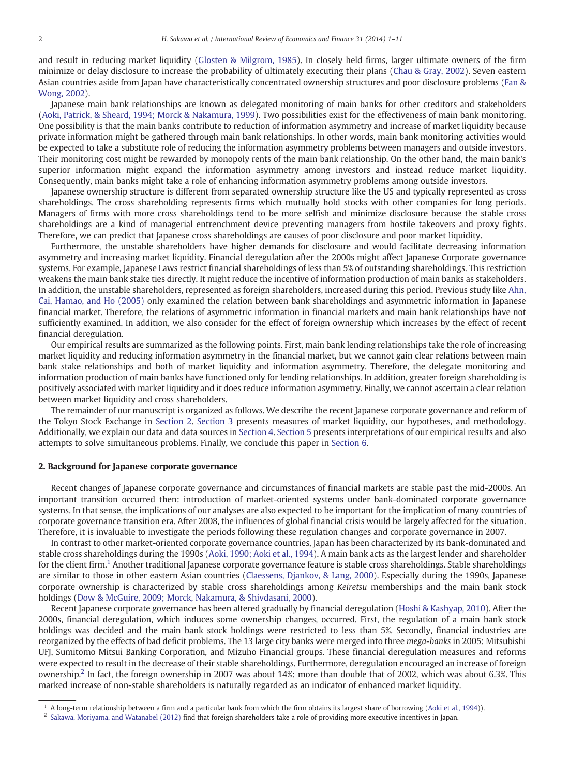and result in reducing market liquidity ([Glosten & Milgrom, 1985\)](#page--1-0). In closely held firms, larger ultimate owners of the firm minimize or delay disclosure to increase the probability of ultimately executing their plans [\(Chau & Gray, 2002\)](#page--1-0). Seven eastern Asian countries aside from Japan have characteristically concentrated ownership structures and poor disclosure problems ([Fan &](#page--1-0) [Wong, 2002](#page--1-0)).

Japanese main bank relationships are known as delegated monitoring of main banks for other creditors and stakeholders [\(Aoki, Patrick, & Sheard, 1994; Morck & Nakamura, 1999\)](#page--1-0). Two possibilities exist for the effectiveness of main bank monitoring. One possibility is that the main banks contribute to reduction of information asymmetry and increase of market liquidity because private information might be gathered through main bank relationships. In other words, main bank monitoring activities would be expected to take a substitute role of reducing the information asymmetry problems between managers and outside investors. Their monitoring cost might be rewarded by monopoly rents of the main bank relationship. On the other hand, the main bank's superior information might expand the information asymmetry among investors and instead reduce market liquidity. Consequently, main banks might take a role of enhancing information asymmetry problems among outside investors.

Japanese ownership structure is different from separated ownership structure like the US and typically represented as cross shareholdings. The cross shareholding represents firms which mutually hold stocks with other companies for long periods. Managers of firms with more cross shareholdings tend to be more selfish and minimize disclosure because the stable cross shareholdings are a kind of managerial entrenchment device preventing managers from hostile takeovers and proxy fights. Therefore, we can predict that Japanese cross shareholdings are causes of poor disclosure and poor market liquidity.

Furthermore, the unstable shareholders have higher demands for disclosure and would facilitate decreasing information asymmetry and increasing market liquidity. Financial deregulation after the 2000s might affect Japanese Corporate governance systems. For example, Japanese Laws restrict financial shareholdings of less than 5% of outstanding shareholdings. This restriction weakens the main bank stake ties directly. It might reduce the incentive of information production of main banks as stakeholders. In addition, the unstable shareholders, represented as foreign shareholders, increased during this period. Previous study like [Ahn,](#page--1-0) [Cai, Hamao, and Ho \(2005\)](#page--1-0) only examined the relation between bank shareholdings and asymmetric information in Japanese financial market. Therefore, the relations of asymmetric information in financial markets and main bank relationships have not sufficiently examined. In addition, we also consider for the effect of foreign ownership which increases by the effect of recent financial deregulation.

Our empirical results are summarized as the following points. First, main bank lending relationships take the role of increasing market liquidity and reducing information asymmetry in the financial market, but we cannot gain clear relations between main bank stake relationships and both of market liquidity and information asymmetry. Therefore, the delegate monitoring and information production of main banks have functioned only for lending relationships. In addition, greater foreign shareholding is positively associated with market liquidity and it does reduce information asymmetry. Finally, we cannot ascertain a clear relation between market liquidity and cross shareholders.

The remainder of our manuscript is organized as follows. We describe the recent Japanese corporate governance and reform of the Tokyo Stock Exchange in Section 2. [Section 3](#page--1-0) presents measures of market liquidity, our hypotheses, and methodology. Additionally, we explain our data and data sources in [Section 4](#page--1-0). [Section 5](#page--1-0) presents interpretations of our empirical results and also attempts to solve simultaneous problems. Finally, we conclude this paper in [Section 6.](#page--1-0)

### 2. Background for Japanese corporate governance

Recent changes of Japanese corporate governance and circumstances of financial markets are stable past the mid-2000s. An important transition occurred then: introduction of market-oriented systems under bank-dominated corporate governance systems. In that sense, the implications of our analyses are also expected to be important for the implication of many countries of corporate governance transition era. After 2008, the influences of global financial crisis would be largely affected for the situation. Therefore, it is invaluable to investigate the periods following these regulation changes and corporate governance in 2007.

In contrast to other market-oriented corporate governance countries, Japan has been characterized by its bank-dominated and stable cross shareholdings during the 1990s ([Aoki, 1990; Aoki et al., 1994\)](#page--1-0). A main bank acts as the largest lender and shareholder for the client firm.<sup>1</sup> Another traditional Japanese corporate governance feature is stable cross shareholdings. Stable shareholdings are similar to those in other eastern Asian countries [\(Claessens, Djankov, & Lang, 2000](#page--1-0)). Especially during the 1990s, Japanese corporate ownership is characterized by stable cross shareholdings among Keiretsu memberships and the main bank stock holdings [\(Dow & McGuire, 2009; Morck, Nakamura, & Shivdasani, 2000](#page--1-0)).

Recent Japanese corporate governance has been altered gradually by financial deregulation ([Hoshi & Kashyap, 2010](#page--1-0)). After the 2000s, financial deregulation, which induces some ownership changes, occurred. First, the regulation of a main bank stock holdings was decided and the main bank stock holdings were restricted to less than 5%. Secondly, financial industries are reorganized by the effects of bad deficit problems. The 13 large city banks were merged into three mega-banks in 2005: Mitsubishi UFJ, Sumitomo Mitsui Banking Corporation, and Mizuho Financial groups. These financial deregulation measures and reforms were expected to result in the decrease of their stable shareholdings. Furthermore, deregulation encouraged an increase of foreign ownership.<sup>2</sup> In fact, the foreign ownership in 2007 was about 14%: more than double that of 2002, which was about 6.3%. This marked increase of non-stable shareholders is naturally regarded as an indicator of enhanced market liquidity.

<sup>1</sup> A long-term relationship between a firm and a particular bank from which the firm obtains its largest share of borrowing ([Aoki et al., 1994\)](#page--1-0)).

<sup>2</sup> [Sakawa, Moriyama, and Watanabel \(2012\)](#page--1-0) find that foreign shareholders take a role of providing more executive incentives in Japan.